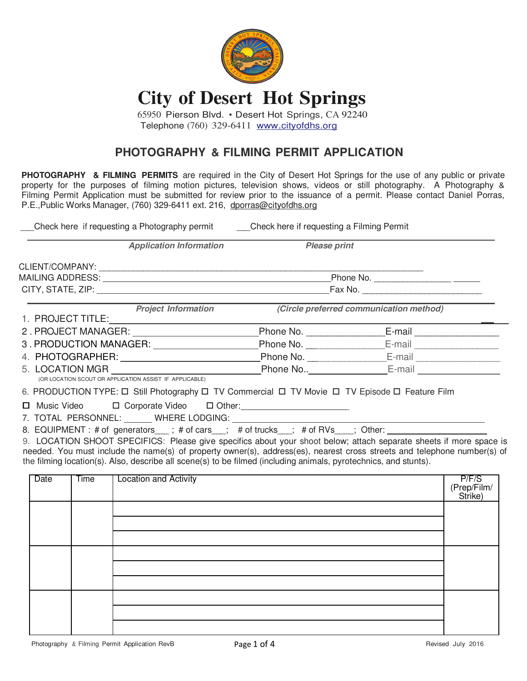

## **City of Desert Hot Springs**

65950 Pierson Blvd. • Desert Hot Springs, CA 92240 Telephone (760) 329-6411 www.cityofdhs.org

## **PHOTOGRAPHY & FILMING PERMIT APPLICATION**

**PHOTOGRAPHY & FILMING PERMITS** are required in the City of Desert Hot Springs for the use of any public or private property for the purposes of filming motion pictures, television shows, videos or still photography. A Photography & Filming Permit Application must be submitted for review prior to the issuance of a permit. Please contact Daniel Porras, P.E.,Public Works Manager, (760) 329-6411 ext. 216, dporras@cityofdhs.org

\_\_Check here if requesting a Photography permit \_\_Check here if requesting a Filming Permit

| <b>Application Information</b>                                                                                                                                                                                                                                                                                                                                     | <b>Please print</b> |                                            |
|--------------------------------------------------------------------------------------------------------------------------------------------------------------------------------------------------------------------------------------------------------------------------------------------------------------------------------------------------------------------|---------------------|--------------------------------------------|
|                                                                                                                                                                                                                                                                                                                                                                    |                     |                                            |
|                                                                                                                                                                                                                                                                                                                                                                    |                     |                                            |
|                                                                                                                                                                                                                                                                                                                                                                    |                     | Fax No. __________________________________ |
| <b>Project Information</b>                                                                                                                                                                                                                                                                                                                                         |                     | (Circle preferred communication method)    |
| 2. PROJECT MANAGER: University Products                                                                                                                                                                                                                                                                                                                            |                     |                                            |
| 3. PRODUCTION MANAGER:                                                                                                                                                                                                                                                                                                                                             |                     |                                            |
|                                                                                                                                                                                                                                                                                                                                                                    |                     |                                            |
| 5. LOCATION MGR <u>Note</u> that the Phone No The MC-1 C-mail E-mail<br>(OR LOCATION SCOUT OR APPLICATION ASSIST IF APPLICABLE)                                                                                                                                                                                                                                    |                     |                                            |
| 6. PRODUCTION TYPE: □ Still Photography □ TV Commercial □ TV Movie □ TV Episode □ Feature Film                                                                                                                                                                                                                                                                     |                     |                                            |
|                                                                                                                                                                                                                                                                                                                                                                    |                     |                                            |
| 8. EQUIPMENT: # of generators___; # of cars__; # of trucks__; # of RVs___; Other:                                                                                                                                                                                                                                                                                  |                     |                                            |
| 9. LOCATION SHOOT SPECIFICS: Please give specifics about your shoot below; attach separate sheets if more space is<br>needed. You must include the name(s) of property owner(s), address(es), nearest cross streets and telephone number(s) of<br>the filming location(s). Also, describe all scene(s) to be filmed (including animals, pyrotechnics, and stunts). |                     |                                            |

| <b>Date</b> | <b>Time</b> | <b>Location and Activity</b> | P/F/S<br>(Prep/Film/<br>Strike) |
|-------------|-------------|------------------------------|---------------------------------|
|             |             |                              |                                 |
|             |             |                              |                                 |
|             |             |                              |                                 |
|             |             |                              |                                 |
|             |             |                              |                                 |
|             |             |                              |                                 |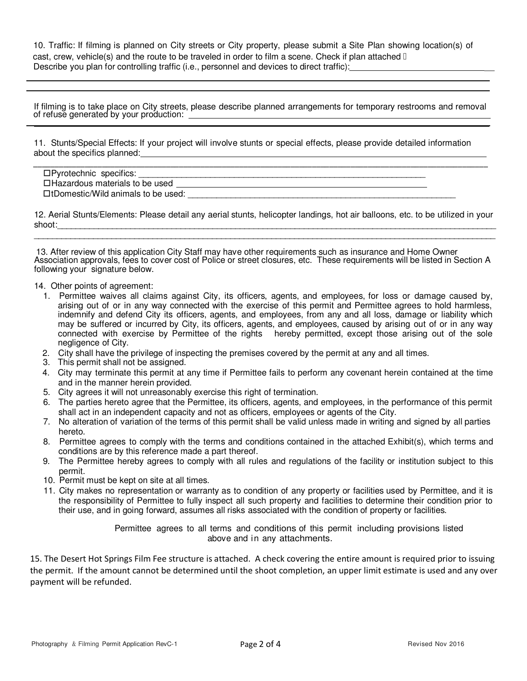10. Traffic: If filming is planned on City streets or City property, please submit a Site Plan showing location(s) of cast, crew, vehicle(s) and the route to be traveled in order to film a scene. Check if plan attached  $\mathbb I$ Describe you plan for controlling traffic (i.e., personnel and devices to direct traffic):

If filming is to take place on City streets, please describe planned arrangements for temporary restrooms and removal of refuse generated by your production:  $\overline{a}$ 

11. Stunts/Special Effects: If your project will involve stunts or special effects, please provide detailed information about the specifics planned:

 $\overline{\phantom{a}}$  , and the set of the set of the set of the set of the set of the set of the set of the set of the set of the set of the set of the set of the set of the set of the set of the set of the set of the set of the s  $\square$  Pyrotechnic specifics: Hazardous materials to be used  $\square$ tDomestic/Wild animals to be used:

12. Aerial Stunts/Elements: Please detail any aerial stunts, helicopter landings, hot air balloons, etc. to be utilized in your shoot:\_\_\_\_\_\_\_\_\_\_\_\_\_\_\_\_\_\_\_\_\_\_\_\_\_\_\_\_\_\_\_\_\_\_\_\_\_\_\_\_\_\_\_\_\_\_\_\_\_\_\_\_\_\_\_\_\_\_\_\_\_\_\_\_\_\_\_\_\_\_\_\_\_\_\_\_\_\_\_\_\_\_\_\_\_\_\_\_\_\_\_\_\_\_\_\_ \_\_\_\_\_\_\_\_\_\_\_\_\_\_\_\_\_\_\_\_\_\_\_\_\_\_\_\_\_\_\_\_\_\_\_\_\_\_\_\_\_\_\_\_\_\_\_\_\_\_\_\_\_\_\_\_\_\_\_\_\_\_\_\_\_\_\_\_\_\_\_\_\_\_\_\_\_\_\_\_\_\_\_\_\_\_\_\_\_\_\_\_\_\_\_\_\_\_\_\_\_

13. After review of this application City Staff may have other requirements such as insurance and Home Owner Association approvals, fees to cover cost of Police or street closures, etc. These requirements will be listed in Section A following your signature below.

14. Other points of agreement:

- 1. Permittee waives all claims against City, its officers, agents, and employees, for loss or damage caused by, arising out of or in any way connected with the exercise of this permit and Permittee agrees to hold harmless, indemnify and defend City its officers, agents, and employees, from any and all loss, damage or liability which may be suffered or incurred by City, its officers, agents, and employees, caused by arising out of or in any way connected with exercise by Permittee of the rights hereby permitted, except those arising out of the sole negligence of City.
- 2. City shall have the privilege of inspecting the premises covered by the permit at any and all times.
- 3. This permit shall not be assigned.
- 4. City may terminate this permit at any time if Permittee fails to perform any covenant herein contained at the time and in the manner herein provided.
- 5. City agrees it will not unreasonably exercise this right of termination.
- 6. The parties hereto agree that the Permittee, its officers, agents, and employees, in the performance of this permit shall act in an independent capacity and not as officers, employees or agents of the City.
- 7. No alteration of variation of the terms of this permit shall be valid unless made in writing and signed by all parties hereto.
- 8. Permittee agrees to comply with the terms and conditions contained in the attached Exhibit(s), which terms and conditions are by this reference made a part thereof.
- 9. The Permittee hereby agrees to comply with all rules and regulations of the facility or institution subject to this permit.
- 10. Permit must be kept on site at all times.
- 11. City makes no representation or warranty as to condition of any property or facilities used by Permittee, and it is the responsibility of Permittee to fully inspect all such property and facilities to determine their condition prior to their use, and in going forward, assumes all risks associated with the condition of property or facilities.

Permittee agrees to all terms and conditions of this permit including provisions listed above and in any attachments.

 15. The Desert Hot Springs Film Fee structure is attached. A check covering the entire amount is required prior to issuing the permit. If the amount cannot be determined until the shoot completion, an upper limit estimate is used and any over payment will be refunded.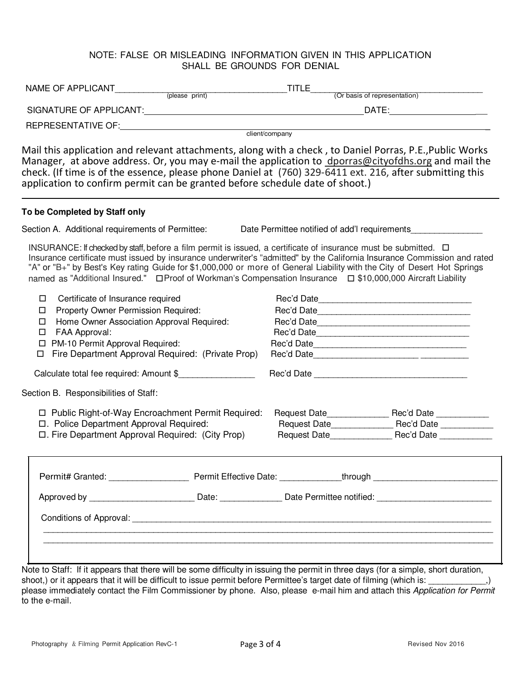## NOTE: FALSE OR MISLEADING INFORMATION GIVEN IN THIS APPLICATION SHALL BE GROUNDS FOR DENIAL

|                                                                                                                                                                                                                                                                                                                                                                                                                                                                                             |  | $T$ TITLE $\qquad \qquad$ | (Or basis of representation)                  |  |  |
|---------------------------------------------------------------------------------------------------------------------------------------------------------------------------------------------------------------------------------------------------------------------------------------------------------------------------------------------------------------------------------------------------------------------------------------------------------------------------------------------|--|---------------------------|-----------------------------------------------|--|--|
|                                                                                                                                                                                                                                                                                                                                                                                                                                                                                             |  |                           |                                               |  |  |
| client/company                                                                                                                                                                                                                                                                                                                                                                                                                                                                              |  |                           |                                               |  |  |
| Mail this application and relevant attachments, along with a check, to Daniel Porras, P.E., Public Works<br>Manager, at above address. Or, you may e-mail the application to dporras@cityofdhs.org and mail the<br>check. (If time is of the essence, please phone Daniel at (760) 329-6411 ext. 216, after submitting this<br>application to confirm permit can be granted before schedule date of shoot.)                                                                                 |  |                           |                                               |  |  |
| To be Completed by Staff only                                                                                                                                                                                                                                                                                                                                                                                                                                                               |  |                           |                                               |  |  |
| Section A. Additional requirements of Permittee:                                                                                                                                                                                                                                                                                                                                                                                                                                            |  |                           | Date Permittee notified of add'I requirements |  |  |
| INSURANCE: If checked by staff, before a film permit is issued, a certificate of insurance must be submitted. $\Box$<br>Insurance certificate must issued by insurance underwriter's "admitted" by the California Insurance Commission and rated<br>"A" or "B+" by Best's Key rating Guide for \$1,000,000 or more of General Liability with the City of Desert Hot Springs<br>named as "Additional Insured." □ Proof of Workman's Compensation Insurance □ \$10,000,000 Aircraft Liability |  |                           |                                               |  |  |
| Certificate of Insurance required<br>0<br>Property Owner Permission Required:<br>□<br>Home Owner Association Approval Required:<br>□<br>FAA Approval:<br>□<br>PM-10 Permit Approval Required:<br>0<br>Fire Department Approval Required: (Private Prop)<br>$\Box$                                                                                                                                                                                                                           |  |                           | Rec'd Date                                    |  |  |
| Calculate total fee required: Amount \$                                                                                                                                                                                                                                                                                                                                                                                                                                                     |  |                           |                                               |  |  |
| Section B. Responsibilities of Staff:                                                                                                                                                                                                                                                                                                                                                                                                                                                       |  |                           |                                               |  |  |
| □ Public Right-of-Way Encroachment Permit Required:<br>□. Police Department Approval Required:<br>□. Fire Department Approval Required: (City Prop)                                                                                                                                                                                                                                                                                                                                         |  |                           |                                               |  |  |
|                                                                                                                                                                                                                                                                                                                                                                                                                                                                                             |  |                           |                                               |  |  |
| Approved by ___________________________Date: ___________________Date Permittee notified: _____________________                                                                                                                                                                                                                                                                                                                                                                              |  |                           |                                               |  |  |
|                                                                                                                                                                                                                                                                                                                                                                                                                                                                                             |  |                           |                                               |  |  |
| Note to Staff: If it appears that there will be some difficulty in issuing the permit in three days (for a simple, short duration,                                                                                                                                                                                                                                                                                                                                                          |  |                           |                                               |  |  |

shoot,) or it appears that it will be difficult to issue permit before Permittee's target date of filming (which is: \_\_\_\_\_\_\_\_\_\_\_,) please immediately contact the Film Commissioner by phone. Also, please e-mail him and attach this Application for Permit to the e-mail.